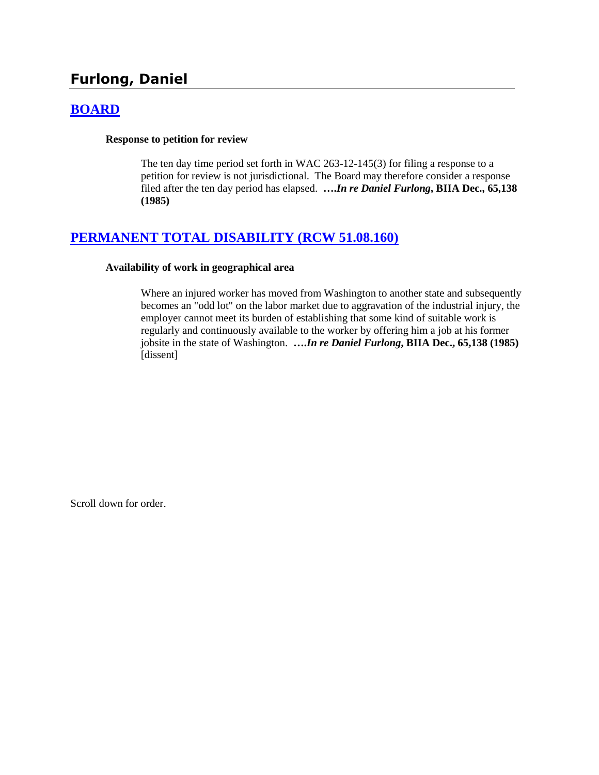# **Furlong, Daniel**

# **[BOARD](http://www.biia.wa.gov/SDSubjectIndex.html#BOARD)**

# **Response to petition for review**

The ten day time period set forth in WAC 263-12-145(3) for filing a response to a petition for review is not jurisdictional. The Board may therefore consider a response filed after the ten day period has elapsed. **….***In re Daniel Furlong***, BIIA Dec., 65,138 (1985)**

# **[PERMANENT TOTAL DISABILITY \(RCW 51.08.160\)](http://www.biia.wa.gov/SDSubjectIndex.html#PERMANENT_TOTAL_DISABILITY)**

## **Availability of work in geographical area**

Where an injured worker has moved from Washington to another state and subsequently becomes an "odd lot" on the labor market due to aggravation of the industrial injury, the employer cannot meet its burden of establishing that some kind of suitable work is regularly and continuously available to the worker by offering him a job at his former jobsite in the state of Washington. **….***In re Daniel Furlong***, BIIA Dec., 65,138 (1985)** [dissent]

Scroll down for order.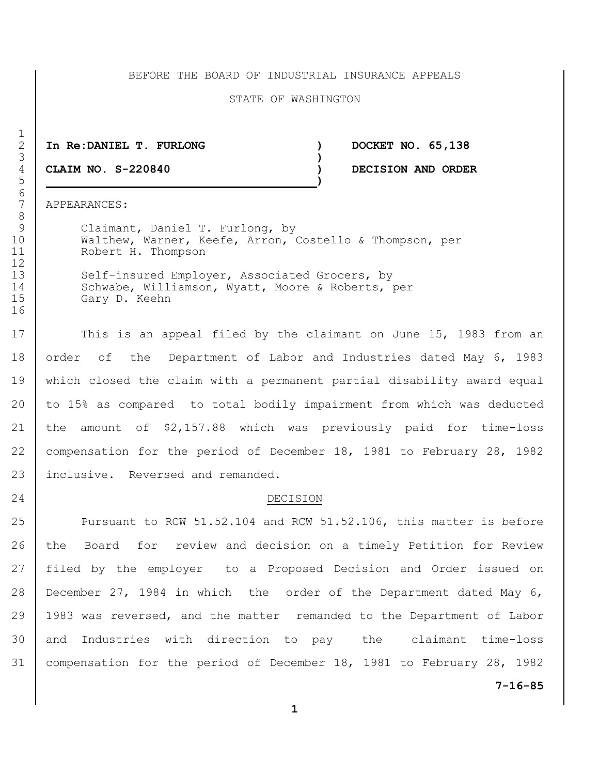## BEFORE THE BOARD OF INDUSTRIAL INSURANCE APPEALS

### STATE OF WASHINGTON

**In Re:DANIEL T. FURLONG ) DOCKET NO. 65,138**

**)**

**CLAIM NO. S-220840 ) DECISION AND ORDER**

APPEARANCES:

 Claimant, Daniel T. Furlong, by Walthew, Warner, Keefe, Arron, Costello & Thompson, per Robert H. Thompson

13 Self-insured Employer, Associated Grocers, by 14 Schwabe, Williamson, Wyatt, Moore & Roberts, per Gary D. Keehn

17 This is an appeal filed by the claimant on June 15, 1983 from an 18 order of the Department of Labor and Industries dated May 6, 1983 which closed the claim with a permanent partial disability award equal to 15% as compared to total bodily impairment from which was deducted the amount of \$2,157.88 which was previously paid for time-loss compensation for the period of December 18, 1981 to February 28, 1982 23 inclusive. Reversed and remanded.

#### 24 DECISION

**7-16-85 Pursuant to RCW 51.52.104 and RCW 51.52.106, this matter is before**  the Board for review and decision on a timely Petition for Review filed by the employer to a Proposed Decision and Order issued on December 27, 1984 in which the order of the Department dated May 6, 1983 was reversed, and the matter remanded to the Department of Labor and Industries with direction to pay the claimant time-loss compensation for the period of December 18, 1981 to February 28, 1982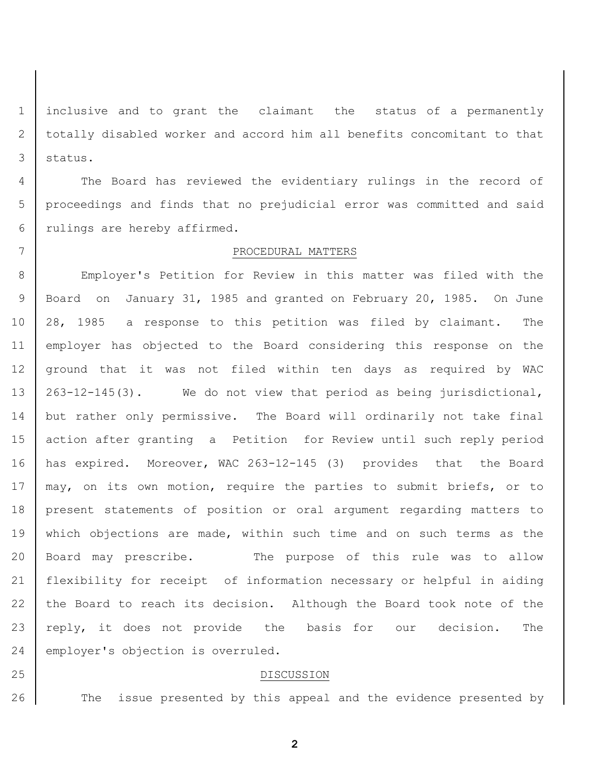inclusive and to grant the claimant the status of a permanently totally disabled worker and accord him all benefits concomitant to that status.

 The Board has reviewed the evidentiary rulings in the record of proceedings and finds that no prejudicial error was committed and said rulings are hereby affirmed.

## PROCEDURAL MATTERS

 Employer's Petition for Review in this matter was filed with the Board on January 31, 1985 and granted on February 20, 1985. On June 28, 1985 a response to this petition was filed by claimant. The employer has objected to the Board considering this response on the ground that it was not filed within ten days as required by WAC 263-12-145(3). We do not view that period as being jurisdictional, but rather only permissive. The Board will ordinarily not take final action after granting a Petition for Review until such reply period has expired. Moreover, WAC 263-12-145 (3) provides that the Board 17 | may, on its own motion, require the parties to submit briefs, or to present statements of position or oral argument regarding matters to 19 | which objections are made, within such time and on such terms as the Board may prescribe. The purpose of this rule was to allow flexibility for receipt of information necessary or helpful in aiding the Board to reach its decision. Although the Board took note of the 23 | reply, it does not provide the basis for our decision. The 24 employer's objection is overruled.

DISCUSSION

26 The issue presented by this appeal and the evidence presented by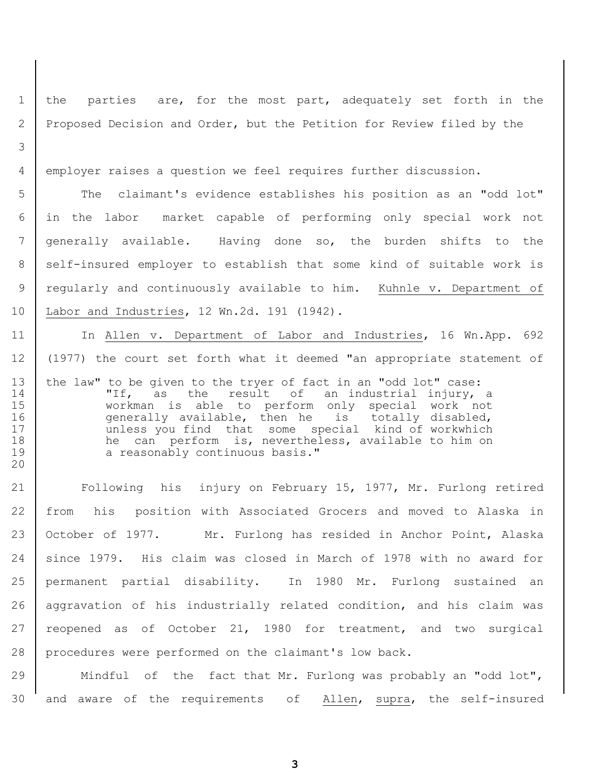the parties are, for the most part, adequately set forth in the 2 Proposed Decision and Order, but the Petition for Review filed by the

employer raises a question we feel requires further discussion.

 The claimant's evidence establishes his position as an "odd lot" in the labor market capable of performing only special work not generally available. Having done so, the burden shifts to the 8 self-insured employer to establish that some kind of suitable work is 9 regularly and continuously available to him. Kuhnle v. Department of Labor and Industries, 12 Wn.2d. 191 (1942).

11 | In Allen v. Department of Labor and Industries, 16 Wn.App. 692 (1977) the court set forth what it deemed "an appropriate statement of 13 the law" to be given to the tryer of fact in an "odd lot" case:<br>14 TIF, as the result of an industrial injury, "If, as the result of an industrial injury, a workman is able to perform only special work not 16 | Generally available, then he is totally disabled, 17 | unless you find that some special kind of workwhich 18 he can perform is, nevertheless, available to him on 19 a reasonably continuous basis." 

 Following his injury on February 15, 1977, Mr. Furlong retired from his position with Associated Grocers and moved to Alaska in October of 1977. Mr. Furlong has resided in Anchor Point, Alaska since 1979. His claim was closed in March of 1978 with no award for permanent partial disability. In 1980 Mr. Furlong sustained an aggravation of his industrially related condition, and his claim was 27 reopened as of October 21, 1980 for treatment, and two surgical procedures were performed on the claimant's low back.

29 | Mindful of the fact that Mr. Furlong was probably an "odd lot", and aware of the requirements of Allen, supra, the self-insured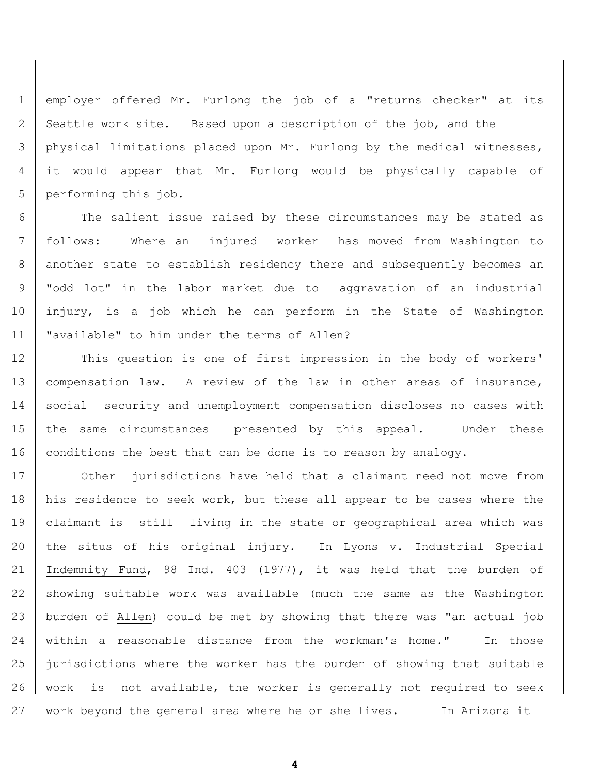employer offered Mr. Furlong the job of a "returns checker" at its 2 Seattle work site. Based upon a description of the job, and the physical limitations placed upon Mr. Furlong by the medical witnesses, it would appear that Mr. Furlong would be physically capable of 5 performing this job.

 The salient issue raised by these circumstances may be stated as follows: Where an injured worker has moved from Washington to 8 another state to establish residency there and subsequently becomes an "odd lot" in the labor market due to aggravation of an industrial injury, is a job which he can perform in the State of Washington "available" to him under the terms of Allen?

12 | This question is one of first impression in the body of workers' 13 | compensation law. A review of the law in other areas of insurance, 14 social security and unemployment compensation discloses no cases with the same circumstances presented by this appeal. Under these 16 conditions the best that can be done is to reason by analogy.

17 Other jurisdictions have held that a claimant need not move from 18 his residence to seek work, but these all appear to be cases where the claimant is still living in the state or geographical area which was the situs of his original injury. In Lyons v. Industrial Special Indemnity Fund, 98 Ind. 403 (1977), it was held that the burden of showing suitable work was available (much the same as the Washington burden of Allen) could be met by showing that there was "an actual job within a reasonable distance from the workman's home." In those jurisdictions where the worker has the burden of showing that suitable work is not available, the worker is generally not required to seek work beyond the general area where he or she lives. In Arizona it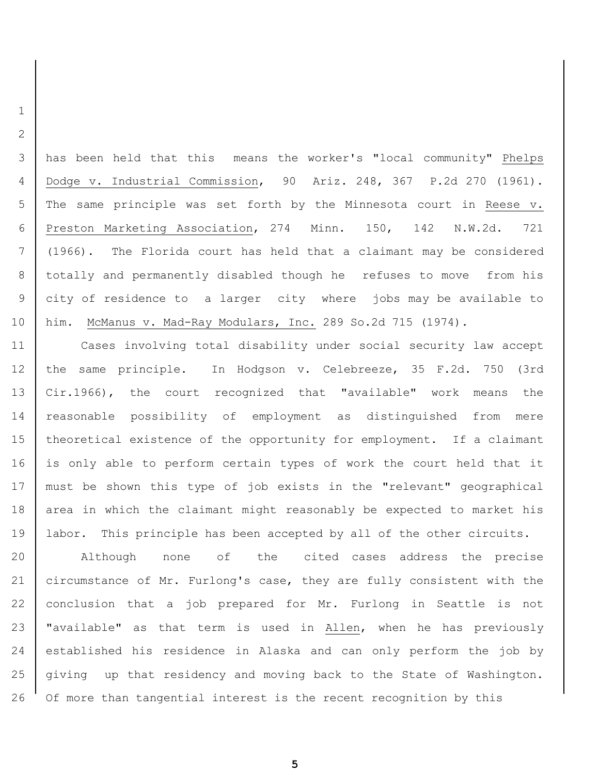has been held that this means the worker's "local community" Phelps Dodge v. Industrial Commission, 90 Ariz. 248, 367 P.2d 270 (1961). The same principle was set forth by the Minnesota court in Reese v. Preston Marketing Association, 274 Minn. 150, 142 N.W.2d. 721 (1966). The Florida court has held that a claimant may be considered totally and permanently disabled though he refuses to move from his city of residence to a larger city where jobs may be available to him. McManus v. Mad-Ray Modulars, Inc. 289 So.2d 715 (1974).

 Cases involving total disability under social security law accept the same principle. In Hodgson v. Celebreeze, 35 F.2d. 750 (3rd Cir.1966), the court recognized that "available" work means the reasonable possibility of employment as distinguished from mere theoretical existence of the opportunity for employment. If a claimant 16 is only able to perform certain types of work the court held that it must be shown this type of job exists in the "relevant" geographical 18 area in which the claimant might reasonably be expected to market his 19 | labor. This principle has been accepted by all of the other circuits.

 Although none of the cited cases address the precise circumstance of Mr. Furlong's case, they are fully consistent with the conclusion that a job prepared for Mr. Furlong in Seattle is not 23 | "available" as that term is used in Allen, when he has previously established his residence in Alaska and can only perform the job by giving up that residency and moving back to the State of Washington. Of more than tangential interest is the recent recognition by this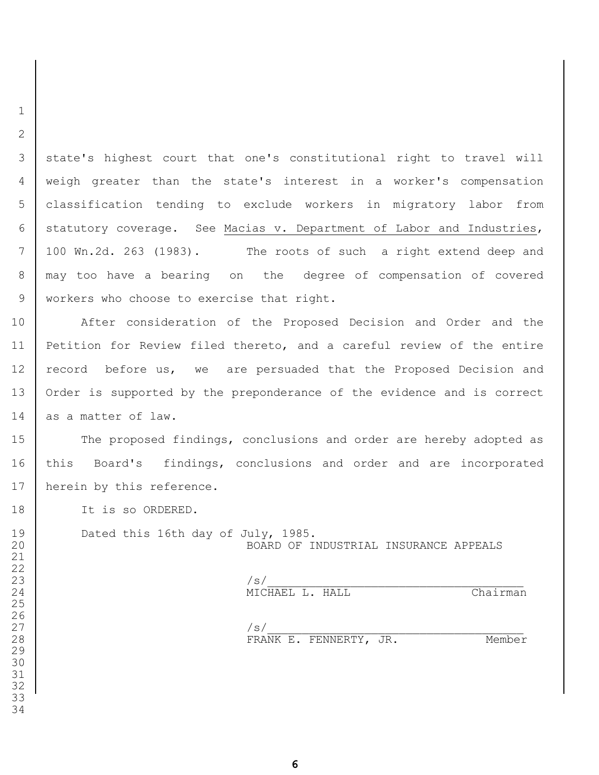3 | state's highest court that one's constitutional right to travel will weigh greater than the state's interest in a worker's compensation classification tending to exclude workers in migratory labor from statutory coverage. See Macias v. Department of Labor and Industries, 100 Wn.2d. 263 (1983). The roots of such a right extend deep and may too have a bearing on the degree of compensation of covered 9 | workers who choose to exercise that right.

 After consideration of the Proposed Decision and Order and the Petition for Review filed thereto, and a careful review of the entire 12 record before us, we are persuaded that the Proposed Decision and 13 | Order is supported by the preponderance of the evidence and is correct 14 as a matter of law.

15 The proposed findings, conclusions and order are hereby adopted as 16 | this Board's findings, conclusions and order and are incorporated 17 | herein by this reference.

18 It is so ORDERED.

 

 

19 Dated this 16th day of July, 1985. BOARD OF INDUSTRIAL INSURANCE APPEALS

 $\vert$ 24 MICHAEL L. HALL Chairman

 $\vert$ 28 FRANK E. FENNERTY, JR. Member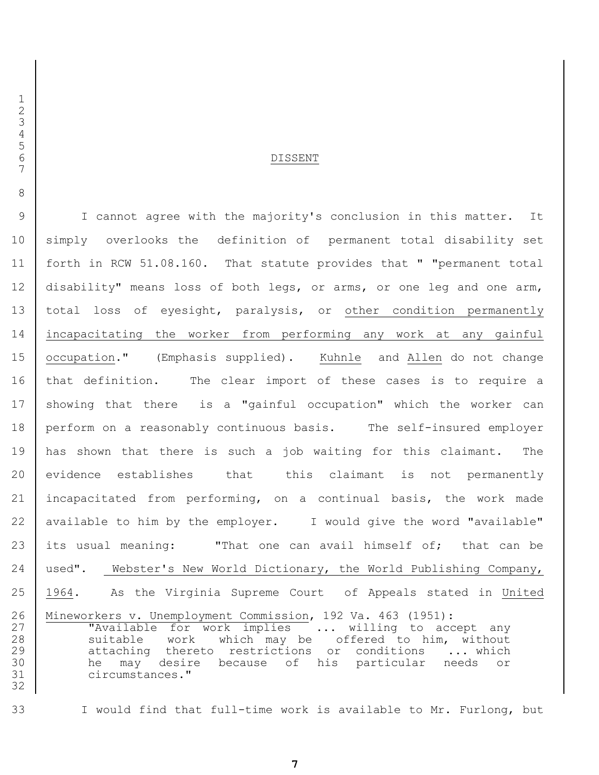#### DISSENT

 I cannot agree with the majority's conclusion in this matter. It 10 | simply overlooks the definition of permanent total disability set forth in RCW 51.08.160. That statute provides that " "permanent total disability" means loss of both legs, or arms, or one leg and one arm, total loss of eyesight, paralysis, or other condition permanently incapacitating the worker from performing any work at any gainful occupation." (Emphasis supplied). Kuhnle and Allen do not change that definition. The clear import of these cases is to require a 17 | showing that there is a "gainful occupation" which the worker can perform on a reasonably continuous basis. The self-insured employer has shown that there is such a job waiting for this claimant. The evidence establishes that this claimant is not permanently incapacitated from performing, on a continual basis, the work made 22 available to him by the employer. I would give the word "available" its usual meaning: "That one can avail himself of; that can be used". Webster's New World Dictionary, the World Publishing Company, 1964. As the Virginia Supreme Court of Appeals stated in United Mineworkers v. Unemployment Commission, 192 Va. 463 (1951): 27 | Tavailable for work implies ... willing to accept any 28 suitable work which may be offered to him, without 29 attaching thereto restrictions or conditions ... which he may desire because of his particular needs or circumstances." 

I would find that full-time work is available to Mr. Furlong, but